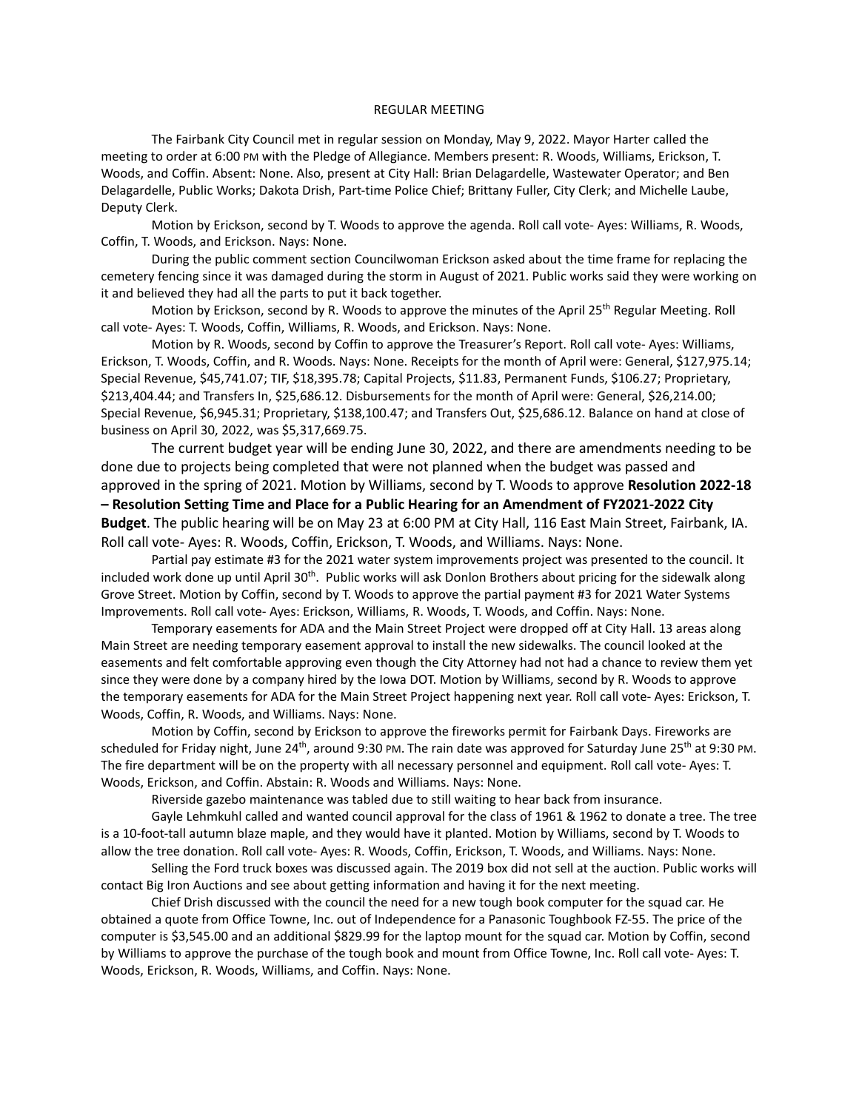## REGULAR MEETING

The Fairbank City Council met in regular session on Monday, May 9, 2022. Mayor Harter called the meeting to order at 6:00 PM with the Pledge of Allegiance. Members present: R. Woods, Williams, Erickson, T. Woods, and Coffin. Absent: None. Also, present at City Hall: Brian Delagardelle, Wastewater Operator; and Ben Delagardelle, Public Works; Dakota Drish, Part-time Police Chief; Brittany Fuller, City Clerk; and Michelle Laube, Deputy Clerk.

Motion by Erickson, second by T. Woods to approve the agenda. Roll call vote- Ayes: Williams, R. Woods, Coffin, T. Woods, and Erickson. Nays: None.

During the public comment section Councilwoman Erickson asked about the time frame for replacing the cemetery fencing since it was damaged during the storm in August of 2021. Public works said they were working on it and believed they had all the parts to put it back together.

Motion by Erickson, second by R. Woods to approve the minutes of the April 25<sup>th</sup> Regular Meeting. Roll call vote- Ayes: T. Woods, Coffin, Williams, R. Woods, and Erickson. Nays: None.

Motion by R. Woods, second by Coffin to approve the Treasurer's Report. Roll call vote- Ayes: Williams, Erickson, T. Woods, Coffin, and R. Woods. Nays: None. Receipts for the month of April were: General, \$127,975.14; Special Revenue, \$45,741.07; TIF, \$18,395.78; Capital Projects, \$11.83, Permanent Funds, \$106.27; Proprietary, \$213,404.44; and Transfers In, \$25,686.12. Disbursements for the month of April were: General, \$26,214.00; Special Revenue, \$6,945.31; Proprietary, \$138,100.47; and Transfers Out, \$25,686.12. Balance on hand at close of business on April 30, 2022, was \$5,317,669.75.

The current budget year will be ending June 30, 2022, and there are amendments needing to be done due to projects being completed that were not planned when the budget was passed and approved in the spring of 2021. Motion by Williams, second by T. Woods to approve **Resolution 2022-18 – Resolution Setting Time and Place for a Public Hearing for an Amendment of FY2021-2022 City Budget**. The public hearing will be on May 23 at 6:00 PM at City Hall, 116 East Main Street, Fairbank, IA. Roll call vote- Ayes: R. Woods, Coffin, Erickson, T. Woods, and Williams. Nays: None.

Partial pay estimate #3 for the 2021 water system improvements project was presented to the council. It included work done up until April 30<sup>th</sup>. Public works will ask Donlon Brothers about pricing for the sidewalk along Grove Street. Motion by Coffin, second by T. Woods to approve the partial payment #3 for 2021 Water Systems Improvements. Roll call vote- Ayes: Erickson, Williams, R. Woods, T. Woods, and Coffin. Nays: None.

Temporary easements for ADA and the Main Street Project were dropped off at City Hall. 13 areas along Main Street are needing temporary easement approval to install the new sidewalks. The council looked at the easements and felt comfortable approving even though the City Attorney had not had a chance to review them yet since they were done by a company hired by the Iowa DOT. Motion by Williams, second by R. Woods to approve the temporary easements for ADA for the Main Street Project happening next year. Roll call vote- Ayes: Erickson, T. Woods, Coffin, R. Woods, and Williams. Nays: None.

Motion by Coffin, second by Erickson to approve the fireworks permit for Fairbank Days. Fireworks are scheduled for Friday night, June 24<sup>th</sup>, around 9:30 PM. The rain date was approved for Saturday June 25<sup>th</sup> at 9:30 PM. The fire department will be on the property with all necessary personnel and equipment. Roll call vote- Ayes: T. Woods, Erickson, and Coffin. Abstain: R. Woods and Williams. Nays: None.

Riverside gazebo maintenance was tabled due to still waiting to hear back from insurance.

Gayle Lehmkuhl called and wanted council approval for the class of 1961 & 1962 to donate a tree. The tree is a 10-foot-tall autumn blaze maple, and they would have it planted. Motion by Williams, second by T. Woods to allow the tree donation. Roll call vote- Ayes: R. Woods, Coffin, Erickson, T. Woods, and Williams. Nays: None.

Selling the Ford truck boxes was discussed again. The 2019 box did not sell at the auction. Public works will contact Big Iron Auctions and see about getting information and having it for the next meeting.

Chief Drish discussed with the council the need for a new tough book computer for the squad car. He obtained a quote from Office Towne, Inc. out of Independence for a Panasonic Toughbook FZ-55. The price of the computer is \$3,545.00 and an additional \$829.99 for the laptop mount for the squad car. Motion by Coffin, second by Williams to approve the purchase of the tough book and mount from Office Towne, Inc. Roll call vote- Ayes: T. Woods, Erickson, R. Woods, Williams, and Coffin. Nays: None.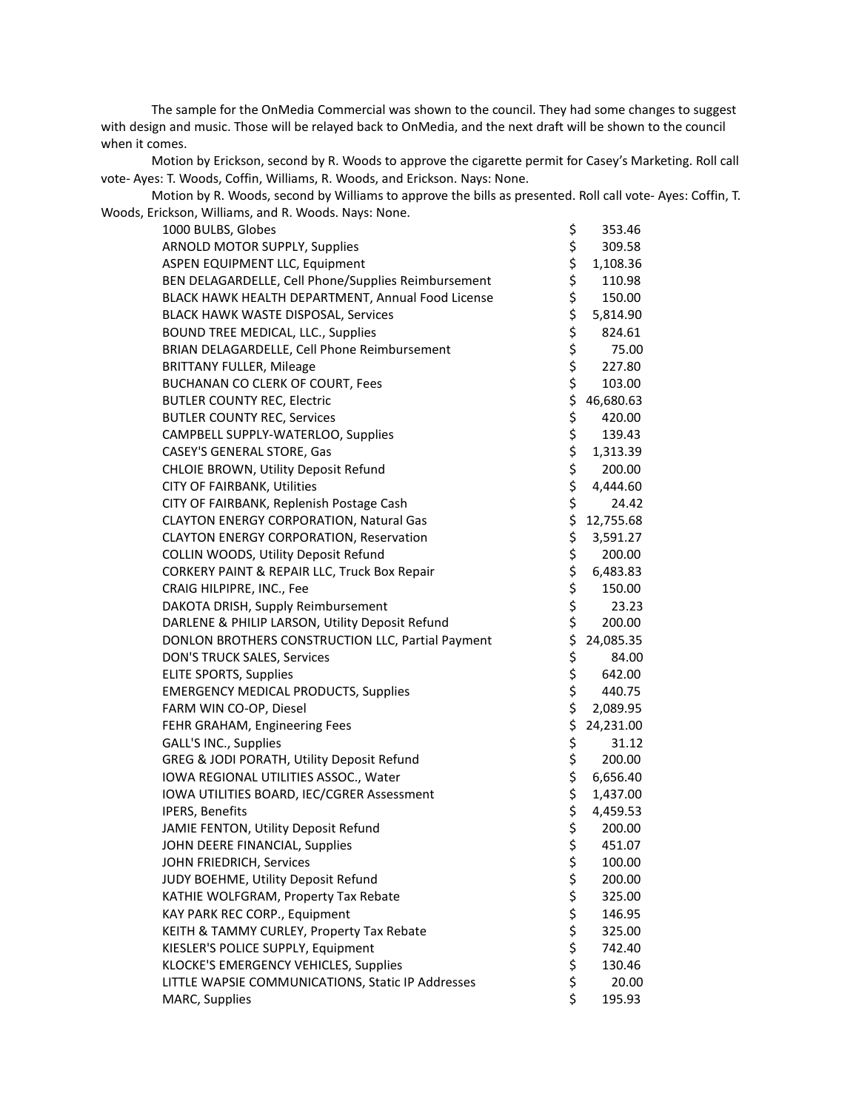The sample for the OnMedia Commercial was shown to the council. They had some changes to suggest with design and music. Those will be relayed back to OnMedia, and the next draft will be shown to the council when it comes.

Motion by Erickson, second by R. Woods to approve the cigarette permit for Casey's Marketing. Roll call vote- Ayes: T. Woods, Coffin, Williams, R. Woods, and Erickson. Nays: None.

Motion by R. Woods, second by Williams to approve the bills as presented. Roll call vote- Ayes: Coffin, T. Woods, Erickson, Williams, and R. Woods. Nays: None.

| 1000 BULBS, Globes                                  | \$     | 353.46    |
|-----------------------------------------------------|--------|-----------|
| ARNOLD MOTOR SUPPLY, Supplies                       | \$     | 309.58    |
| ASPEN EQUIPMENT LLC, Equipment                      | \$     | 1,108.36  |
| BEN DELAGARDELLE, Cell Phone/Supplies Reimbursement | \$     | 110.98    |
| BLACK HAWK HEALTH DEPARTMENT, Annual Food License   |        | 150.00    |
| BLACK HAWK WASTE DISPOSAL, Services                 | \$\$\$ | 5,814.90  |
| BOUND TREE MEDICAL, LLC., Supplies                  |        | 824.61    |
| BRIAN DELAGARDELLE, Cell Phone Reimbursement        | \$     | 75.00     |
| <b>BRITTANY FULLER, Mileage</b>                     | \$     | 227.80    |
| BUCHANAN CO CLERK OF COURT, Fees                    | \$     | 103.00    |
| <b>BUTLER COUNTY REC, Electric</b>                  | \$     | 46,680.63 |
| <b>BUTLER COUNTY REC, Services</b>                  |        | 420.00    |
| CAMPBELL SUPPLY-WATERLOO, Supplies                  |        | 139.43    |
| CASEY'S GENERAL STORE, Gas                          |        | 1,313.39  |
| CHLOIE BROWN, Utility Deposit Refund                |        | 200.00    |
| CITY OF FAIRBANK, Utilities                         | ややや やや | 4,444.60  |
| CITY OF FAIRBANK, Replenish Postage Cash            |        | 24.42     |
| CLAYTON ENERGY CORPORATION, Natural Gas             | \$     | 12,755.68 |
| CLAYTON ENERGY CORPORATION, Reservation             | \$     | 3,591.27  |
| COLLIN WOODS, Utility Deposit Refund                | \$     | 200.00    |
| CORKERY PAINT & REPAIR LLC, Truck Box Repair        | \$     | 6,483.83  |
| CRAIG HILPIPRE, INC., Fee                           | \$     | 150.00    |
| DAKOTA DRISH, Supply Reimbursement                  | \$     | 23.23     |
| DARLENE & PHILIP LARSON, Utility Deposit Refund     | \$     | 200.00    |
| DONLON BROTHERS CONSTRUCTION LLC, Partial Payment   | \$     | 24,085.35 |
| DON'S TRUCK SALES, Services                         | \$     | 84.00     |
| <b>ELITE SPORTS, Supplies</b>                       | \$     | 642.00    |
| <b>EMERGENCY MEDICAL PRODUCTS, Supplies</b>         | \$     | 440.75    |
| FARM WIN CO-OP, Diesel                              | \$     | 2,089.95  |
| FEHR GRAHAM, Engineering Fees                       | \$     | 24,231.00 |
| GALL'S INC., Supplies                               | \$     | 31.12     |
| GREG & JODI PORATH, Utility Deposit Refund          | \$     | 200.00    |
| IOWA REGIONAL UTILITIES ASSOC., Water               | \$     | 6,656.40  |
| IOWA UTILITIES BOARD, IEC/CGRER Assessment          | \$     | 1,437.00  |
| IPERS, Benefits                                     | \$     | 4,459.53  |
| JAMIE FENTON, Utility Deposit Refund                | \$     | 200.00    |
| JOHN DEERE FINANCIAL, Supplies                      | \$     | 451.07    |
| JOHN FRIEDRICH, Services                            | \$     | 100.00    |
| JUDY BOEHME, Utility Deposit Refund                 | \$     | 200.00    |
| KATHIE WOLFGRAM, Property Tax Rebate                |        | 325.00    |
| KAY PARK REC CORP., Equipment                       |        | 146.95    |
| KEITH & TAMMY CURLEY, Property Tax Rebate           |        | 325.00    |
| KIESLER'S POLICE SUPPLY, Equipment                  | やなみない  | 742.40    |
| KLOCKE'S EMERGENCY VEHICLES, Supplies               |        | 130.46    |
| LITTLE WAPSIE COMMUNICATIONS, Static IP Addresses   |        | 20.00     |
| MARC, Supplies                                      |        | 195.93    |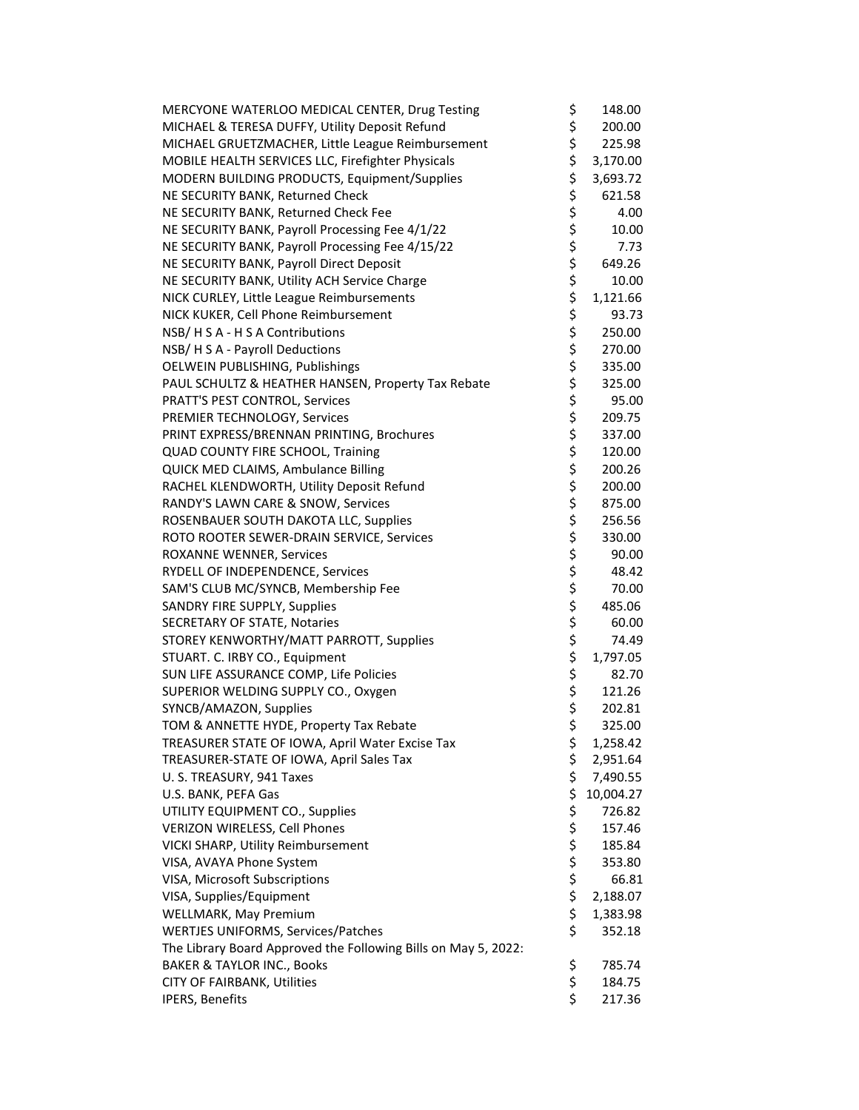| MERCYONE WATERLOO MEDICAL CENTER, Drug Testing                 | \$       | 148.00    |
|----------------------------------------------------------------|----------|-----------|
| MICHAEL & TERESA DUFFY, Utility Deposit Refund                 | \$       | 200.00    |
| MICHAEL GRUETZMACHER, Little League Reimbursement              | \$       | 225.98    |
| MOBILE HEALTH SERVICES LLC, Firefighter Physicals              | \$       | 3,170.00  |
| MODERN BUILDING PRODUCTS, Equipment/Supplies                   | \$       | 3,693.72  |
| NE SECURITY BANK, Returned Check                               | \$       | 621.58    |
| NE SECURITY BANK, Returned Check Fee                           | \$       | 4.00      |
| NE SECURITY BANK, Payroll Processing Fee 4/1/22                | \$       | 10.00     |
| NE SECURITY BANK, Payroll Processing Fee 4/15/22               |          | 7.73      |
| NE SECURITY BANK, Payroll Direct Deposit                       | \$<br>\$ | 649.26    |
| NE SECURITY BANK, Utility ACH Service Charge                   |          | 10.00     |
| NICK CURLEY, Little League Reimbursements                      | やなみない    | 1,121.66  |
| NICK KUKER, Cell Phone Reimbursement                           |          | 93.73     |
| NSB/ H S A - H S A Contributions                               |          | 250.00    |
| NSB/ H S A - Payroll Deductions                                |          | 270.00    |
| OELWEIN PUBLISHING, Publishings                                |          | 335.00    |
|                                                                |          |           |
| PAUL SCHULTZ & HEATHER HANSEN, Property Tax Rebate             | \$       | 325.00    |
| PRATT'S PEST CONTROL, Services                                 |          | 95.00     |
| PREMIER TECHNOLOGY, Services                                   | \$<br>\$ | 209.75    |
| PRINT EXPRESS/BRENNAN PRINTING, Brochures                      |          | 337.00    |
| QUAD COUNTY FIRE SCHOOL, Training                              | \$       | 120.00    |
| QUICK MED CLAIMS, Ambulance Billing                            | \$       | 200.26    |
| RACHEL KLENDWORTH, Utility Deposit Refund                      | \$       | 200.00    |
| RANDY'S LAWN CARE & SNOW, Services                             | \$       | 875.00    |
| ROSENBAUER SOUTH DAKOTA LLC, Supplies                          | \$       | 256.56    |
| ROTO ROOTER SEWER-DRAIN SERVICE, Services                      | \$       | 330.00    |
| ROXANNE WENNER, Services                                       | \$       | 90.00     |
| RYDELL OF INDEPENDENCE, Services                               | \$       | 48.42     |
| SAM'S CLUB MC/SYNCB, Membership Fee                            | \$       | 70.00     |
| SANDRY FIRE SUPPLY, Supplies                                   | \$       | 485.06    |
| <b>SECRETARY OF STATE, Notaries</b>                            | \$       | 60.00     |
| STOREY KENWORTHY/MATT PARROTT, Supplies                        | \$       | 74.49     |
| STUART. C. IRBY CO., Equipment                                 | \$       | 1,797.05  |
| SUN LIFE ASSURANCE COMP, Life Policies                         | \$       | 82.70     |
| SUPERIOR WELDING SUPPLY CO., Oxygen                            | \$       | 121.26    |
| SYNCB/AMAZON, Supplies                                         | \$       | 202.81    |
| TOM & ANNETTE HYDE, Property Tax Rebate                        | Ś        | 325.00    |
| TREASURER STATE OF IOWA, April Water Excise Tax                | \$       | 1,258.42  |
| TREASURER-STATE OF IOWA, April Sales Tax                       | \$       | 2,951.64  |
| U.S. TREASURY, 941 Taxes                                       | \$       | 7,490.55  |
| U.S. BANK, PEFA Gas                                            | \$       | 10,004.27 |
| UTILITY EQUIPMENT CO., Supplies                                | \$       | 726.82    |
| VERIZON WIRELESS, Cell Phones                                  |          | 157.46    |
| VICKI SHARP, Utility Reimbursement                             |          | 185.84    |
| VISA, AVAYA Phone System                                       | \$\$\$\$ | 353.80    |
| VISA, Microsoft Subscriptions                                  |          | 66.81     |
| VISA, Supplies/Equipment                                       | \$       | 2,188.07  |
| WELLMARK, May Premium                                          | \$       | 1,383.98  |
| WERTJES UNIFORMS, Services/Patches                             | \$       | 352.18    |
| The Library Board Approved the Following Bills on May 5, 2022: |          |           |
| <b>BAKER &amp; TAYLOR INC., Books</b>                          | \$       | 785.74    |
| CITY OF FAIRBANK, Utilities                                    | \$       | 184.75    |
| IPERS, Benefits                                                | \$       | 217.36    |
|                                                                |          |           |